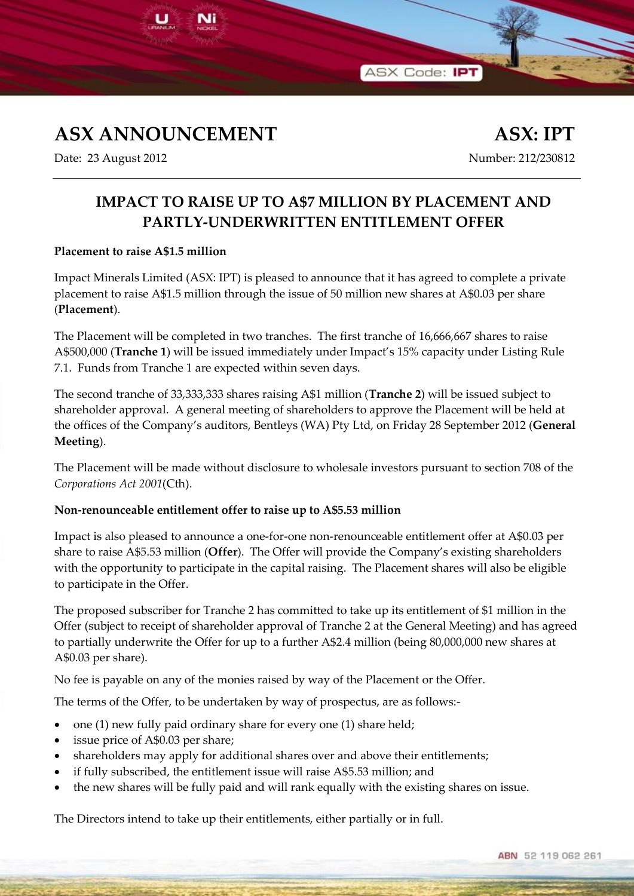

Ni

Date: 23 August 2012 Mumber: 212/230812

## **IMPACT TO RAISE UP TO A\$7 MILLION BY PLACEMENT AND PARTLY-UNDERWRITTEN ENTITLEMENT OFFER**

ASX Code: IPT

## **Placement to raise A\$1.5 million**

Impact Minerals Limited (ASX: IPT) is pleased to announce that it has agreed to complete a private placement to raise A\$1.5 million through the issue of 50 million new shares at A\$0.03 per share (**Placement**).

The Placement will be completed in two tranches. The first tranche of 16,666,667 shares to raise A\$500,000 (**Tranche 1**) will be issued immediately under Impact's 15% capacity under Listing Rule 7.1. Funds from Tranche 1 are expected within seven days.

The second tranche of 33,333,333 shares raising A\$1 million (**Tranche 2**) will be issued subject to shareholder approval. A general meeting of shareholders to approve the Placement will be held at the offices of the Company's auditors, Bentleys (WA) Pty Ltd, on Friday 28 September 2012 (**General Meeting**).

The Placement will be made without disclosure to wholesale investors pursuant to section 708 of the *Corporations Act 2001*(Cth).

## **Non-renounceable entitlement offer to raise up to A\$5.53 million**

Impact is also pleased to announce a one-for-one non-renounceable entitlement offer at A\$0.03 per share to raise A\$5.53 million (**Offer**). The Offer will provide the Company's existing shareholders with the opportunity to participate in the capital raising. The Placement shares will also be eligible to participate in the Offer.

The proposed subscriber for Tranche 2 has committed to take up its entitlement of \$1 million in the Offer (subject to receipt of shareholder approval of Tranche 2 at the General Meeting) and has agreed to partially underwrite the Offer for up to a further A\$2.4 million (being 80,000,000 new shares at A\$0.03 per share).

No fee is payable on any of the monies raised by way of the Placement or the Offer.

The terms of the Offer, to be undertaken by way of prospectus, are as follows:-

- one (1) new fully paid ordinary share for every one (1) share held;
- issue price of A\$0.03 per share;
- shareholders may apply for additional shares over and above their entitlements;
- if fully subscribed, the entitlement issue will raise A\$5.53 million; and
- the new shares will be fully paid and will rank equally with the existing shares on issue.

The Directors intend to take up their entitlements, either partially or in full.